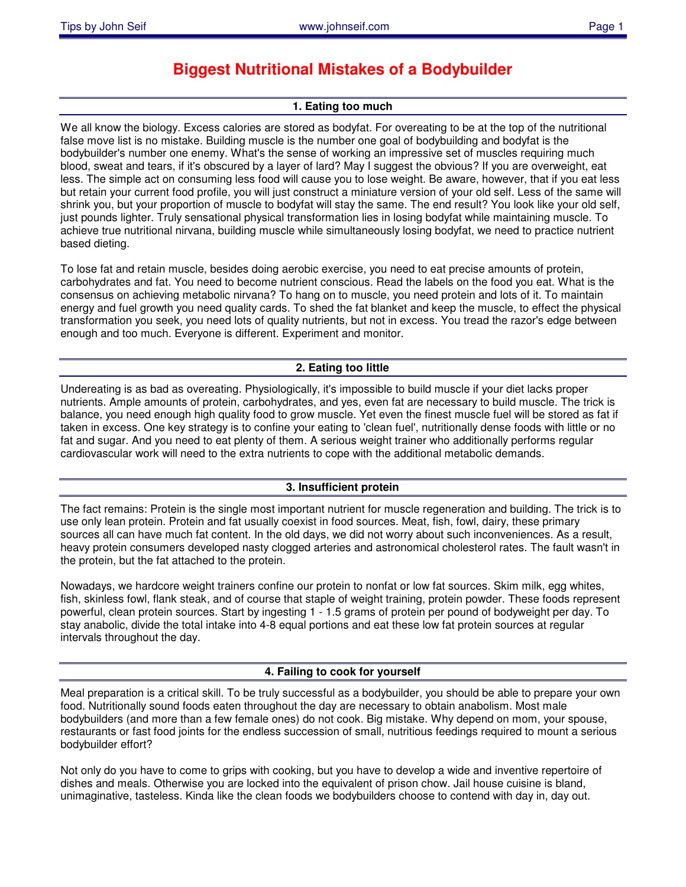# **Biggest Nutritional Mistakes of a Bodybuilder**

# **1. Eating too much**

We all know the biology. Excess calories are stored as bodyfat. For overeating to be at the top of the nutritional false move list is no mistake. Building muscle is the number one goal of bodybuilding and bodyfat is the bodybuilder's number one enemy. What's the sense of working an impressive set of muscles requiring much blood, sweat and tears, if it's obscured by a layer of lard? May I suggest the obvious? If you are overweight, eat less. The simple act on consuming less food will cause you to lose weight. Be aware, however, that if you eat less but retain your current food profile, you will just construct a miniature version of your old self. Less of the same will shrink you, but your proportion of muscle to bodyfat will stay the same. The end result? You look like your old self, just pounds lighter. Truly sensational physical transformation lies in losing bodyfat while maintaining muscle. To achieve true nutritional nirvana, building muscle while simultaneously losing bodyfat, we need to practice nutrient based dieting.

To lose fat and retain muscle, besides doing aerobic exercise, you need to eat precise amounts of protein, carbohydrates and fat. You need to become nutrient conscious. Read the labels on the food you eat. What is the consensus on achieving metabolic nirvana? To hang on to muscle, you need protein and lots of it. To maintain energy and fuel growth you need quality cards. To shed the fat blanket and keep the muscle, to effect the physical transformation you seek, you need lots of quality nutrients, but not in excess. You tread the razor's edge between enough and too much. Everyone is different. Experiment and monitor.

# **2. Eating too little**

Undereating is as bad as overeating. Physiologically, it's impossible to build muscle if your diet lacks proper nutrients. Ample amounts of protein, carbohydrates, and yes, even fat are necessary to build muscle. The trick is balance, you need enough high quality food to grow muscle. Yet even the finest muscle fuel will be stored as fat if taken in excess. One key strategy is to confine your eating to 'clean fuel', nutritionally dense foods with little or no fat and sugar. And you need to eat plenty of them. A serious weight trainer who additionally performs regular cardiovascular work will need to the extra nutrients to cope with the additional metabolic demands.

## **3. Insufficient protein**

The fact remains: Protein is the single most important nutrient for muscle regeneration and building. The trick is to use only lean protein. Protein and fat usually coexist in food sources. Meat, fish, fowl, dairy, these primary sources all can have much fat content. In the old days, we did not worry about such inconveniences. As a result, heavy protein consumers developed nasty clogged arteries and astronomical cholesterol rates. The fault wasn't in the protein, but the fat attached to the protein.

Nowadays, we hardcore weight trainers confine our protein to nonfat or low fat sources. Skim milk, egg whites, fish, skinless fowl, flank steak, and of course that staple of weight training, protein powder. These foods represent powerful, clean protein sources. Start by ingesting 1 - 1.5 grams of protein per pound of bodyweight per day. To stay anabolic, divide the total intake into 4-8 equal portions and eat these low fat protein sources at regular intervals throughout the day.

## **4. Failing to cook for yourself**

Meal preparation is a critical skill. To be truly successful as a bodybuilder, you should be able to prepare your own food. Nutritionally sound foods eaten throughout the day are necessary to obtain anabolism. Most male bodybuilders (and more than a few female ones) do not cook. Big mistake. Why depend on mom, your spouse, restaurants or fast food joints for the endless succession of small, nutritious feedings required to mount a serious bodybuilder effort?

Not only do you have to come to grips with cooking, but you have to develop a wide and inventive repertoire of dishes and meals. Otherwise you are locked into the equivalent of prison chow. Jail house cuisine is bland, unimaginative, tasteless. Kinda like the clean foods we bodybuilders choose to contend with day in, day out.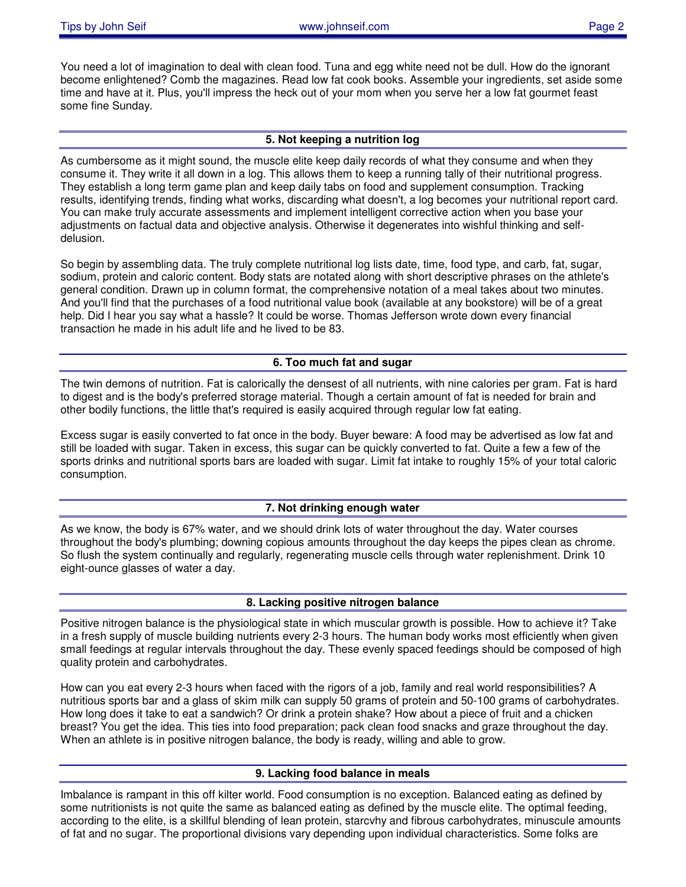You need a lot of imagination to deal with clean food. Tuna and egg white need not be dull. How do the ignorant become enlightened? Comb the magazines. Read low fat cook books. Assemble your ingredients, set aside some time and have at it. Plus, you'll impress the heck out of your mom when you serve her a low fat gourmet feast some fine Sunday.

#### **5. Not keeping a nutrition log**

As cumbersome as it might sound, the muscle elite keep daily records of what they consume and when they consume it. They write it all down in a log. This allows them to keep a running tally of their nutritional progress. They establish a long term game plan and keep daily tabs on food and supplement consumption. Tracking results, identifying trends, finding what works, discarding what doesn't, a log becomes your nutritional report card. You can make truly accurate assessments and implement intelligent corrective action when you base your adjustments on factual data and objective analysis. Otherwise it degenerates into wishful thinking and selfdelusion.

So begin by assembling data. The truly complete nutritional log lists date, time, food type, and carb, fat, sugar, sodium, protein and caloric content. Body stats are notated along with short descriptive phrases on the athlete's general condition. Drawn up in column format, the comprehensive notation of a meal takes about two minutes. And you'll find that the purchases of a food nutritional value book (available at any bookstore) will be of a great help. Did I hear you say what a hassle? It could be worse. Thomas Jefferson wrote down every financial transaction he made in his adult life and he lived to be 83.

#### **6. Too much fat and sugar**

The twin demons of nutrition. Fat is calorically the densest of all nutrients, with nine calories per gram. Fat is hard to digest and is the body's preferred storage material. Though a certain amount of fat is needed for brain and other bodily functions, the little that's required is easily acquired through regular low fat eating.

Excess sugar is easily converted to fat once in the body. Buyer beware: A food may be advertised as low fat and still be loaded with sugar. Taken in excess, this sugar can be quickly converted to fat. Quite a few a few of the sports drinks and nutritional sports bars are loaded with sugar. Limit fat intake to roughly 15% of your total caloric consumption.

#### **7. Not drinking enough water**

As we know, the body is 67% water, and we should drink lots of water throughout the day. Water courses throughout the body's plumbing; downing copious amounts throughout the day keeps the pipes clean as chrome. So flush the system continually and regularly, regenerating muscle cells through water replenishment. Drink 10 eight-ounce glasses of water a day.

#### **8. Lacking positive nitrogen balance**

Positive nitrogen balance is the physiological state in which muscular growth is possible. How to achieve it? Take in a fresh supply of muscle building nutrients every 2-3 hours. The human body works most efficiently when given small feedings at regular intervals throughout the day. These evenly spaced feedings should be composed of high quality protein and carbohydrates.

How can you eat every 2-3 hours when faced with the rigors of a job, family and real world responsibilities? A nutritious sports bar and a glass of skim milk can supply 50 grams of protein and 50-100 grams of carbohydrates. How long does it take to eat a sandwich? Or drink a protein shake? How about a piece of fruit and a chicken breast? You get the idea. This ties into food preparation; pack clean food snacks and graze throughout the day. When an athlete is in positive nitrogen balance, the body is ready, willing and able to grow.

## **9. Lacking food balance in meals**

Imbalance is rampant in this off kilter world. Food consumption is no exception. Balanced eating as defined by some nutritionists is not quite the same as balanced eating as defined by the muscle elite. The optimal feeding, according to the elite, is a skillful blending of lean protein, starcvhy and fibrous carbohydrates, minuscule amounts of fat and no sugar. The proportional divisions vary depending upon individual characteristics. Some folks are